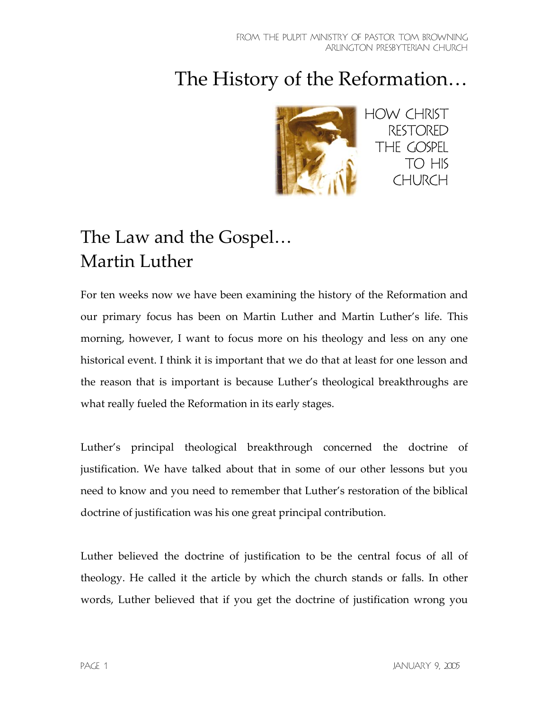# The History of the Reformation…



## The Law and the Gospel… Martin Luther

For ten weeks now we have been examining the history of the Reformation and our primary focus has been on Martin Luther and Martin Luther's life. This morning, however, I want to focus more on his theology and less on any one historical event. I think it is important that we do that at least for one lesson and the reason that is important is because Luther's theological breakthroughs are what really fueled the Reformation in its early stages.

Luther's principal theological breakthrough concerned the doctrine of justification. We have talked about that in some of our other lessons but you need to know and you need to remember that Luther's restoration of the biblical doctrine of justification was his one great principal contribution.

Luther believed the doctrine of justification to be the central focus of all of theology. He called it the article by which the church stands or falls. In other words, Luther believed that if you get the doctrine of justification wrong you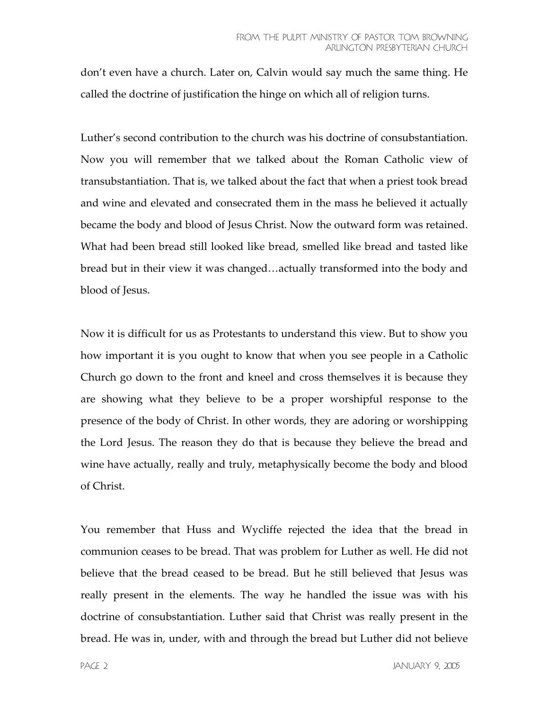don't even have a church. Later on, Calvin would say much the same thing. He called the doctrine of justification the hinge on which all of religion turns.

Luther's second contribution to the church was his doctrine of consubstantiation. Now you will remember that we talked about the Roman Catholic view of transubstantiation. That is, we talked about the fact that when a priest took bread and wine and elevated and consecrated them in the mass he believed it actually became the body and blood of Jesus Christ. Now the outward form was retained. What had been bread still looked like bread, smelled like bread and tasted like bread but in their view it was changed…actually transformed into the body and blood of Jesus.

Now it is difficult for us as Protestants to understand this view. But to show you how important it is you ought to know that when you see people in a Catholic Church go down to the front and kneel and cross themselves it is because they are showing what they believe to be a proper worshipful response to the presence of the body of Christ. In other words, they are adoring or worshipping the Lord Jesus. The reason they do that is because they believe the bread and wine have actually, really and truly, metaphysically become the body and blood of Christ.

You remember that Huss and Wycliffe rejected the idea that the bread in communion ceases to be bread. That was problem for Luther as well. He did not believe that the bread ceased to be bread. But he still believed that Jesus was really present in the elements. The way he handled the issue was with his doctrine of consubstantiation. Luther said that Christ was really present in the bread. He was in, under, with and through the bread but Luther did not believe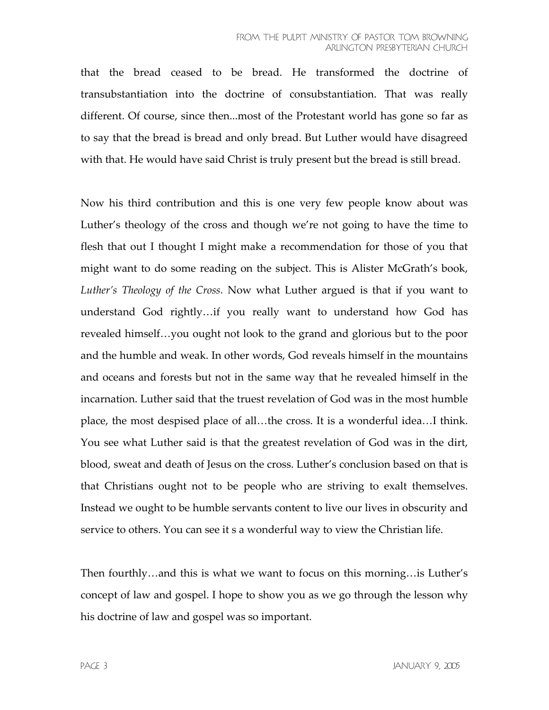#### FROM THE PULPIT MINISTRY OF PASTOR TOM BROWNING Arlington Presbyterian Church

that the bread ceased to be bread. He transformed the doctrine of transubstantiation into the doctrine of consubstantiation. That was really different. Of course, since then...most of the Protestant world has gone so far as to say that the bread is bread and only bread. But Luther would have disagreed with that. He would have said Christ is truly present but the bread is still bread.

Now his third contribution and this is one very few people know about was Luther's theology of the cross and though we're not going to have the time to flesh that out I thought I might make a recommendation for those of you that might want to do some reading on the subject. This is Alister McGrath's book, *Luther's Theology of the Cross.* Now what Luther argued is that if you want to understand God rightly…if you really want to understand how God has revealed himself…you ought not look to the grand and glorious but to the poor and the humble and weak. In other words, God reveals himself in the mountains and oceans and forests but not in the same way that he revealed himself in the incarnation. Luther said that the truest revelation of God was in the most humble place, the most despised place of all…the cross. It is a wonderful idea…I think. You see what Luther said is that the greatest revelation of God was in the dirt, blood, sweat and death of Jesus on the cross. Luther's conclusion based on that is that Christians ought not to be people who are striving to exalt themselves. Instead we ought to be humble servants content to live our lives in obscurity and service to others. You can see it s a wonderful way to view the Christian life.

Then fourthly…and this is what we want to focus on this morning…is Luther's concept of law and gospel. I hope to show you as we go through the lesson why his doctrine of law and gospel was so important.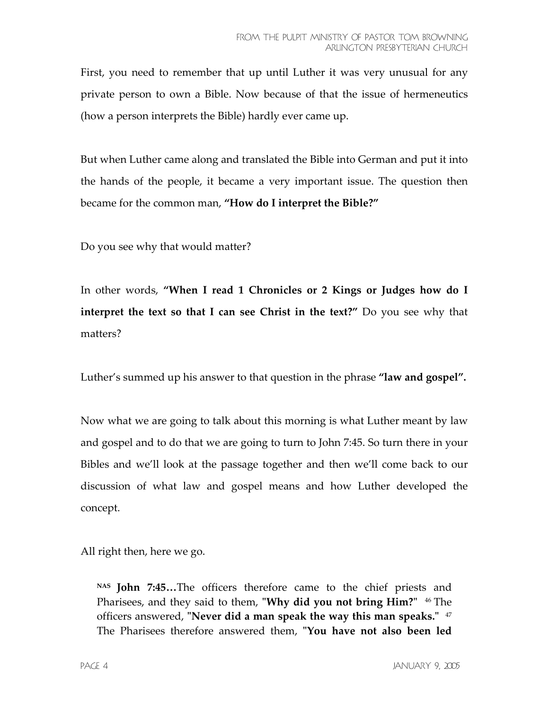First, you need to remember that up until Luther it was very unusual for any private person to own a Bible. Now because of that the issue of hermeneutics (how a person interprets the Bible) hardly ever came up.

But when Luther came along and translated the Bible into German and put it into the hands of the people, it became a very important issue. The question then became for the common man, **"How do I interpret the Bible?"** 

Do you see why that would matter?

In other words, **"When I read 1 Chronicles or 2 Kings or Judges how do I interpret the text so that I can see Christ in the text?"** Do you see why that matters?

Luther's summed up his answer to that question in the phrase **"law and gospel".**

Now what we are going to talk about this morning is what Luther meant by law and gospel and to do that we are going to turn to John 7:45. So turn there in your Bibles and we'll look at the passage together and then we'll come back to our discussion of what law and gospel means and how Luther developed the concept.

All right then, here we go.

**NAS John 7:45…**The officers therefore came to the chief priests and Pharisees, and they said to them, "Why did you not bring Him?" <sup>46</sup> The officers answered, **"Never did a man speak the way this man speaks."** <sup>47</sup> The Pharisees therefore answered them, **ʺYou have not also been led**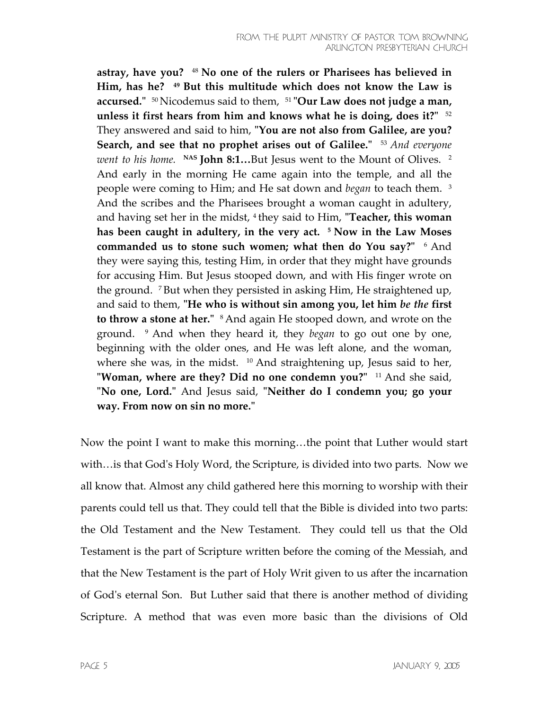**astray, have you?** 48 **No one of the rulers or Pharisees has believed in Him, has he? 49 But this multitude which does not know the Law is accursed.ʺ** 50 Nicodemus said to them, 51 **ʺOur Law does not judge a man, unless it first hears from him and knows what he is doing, does it?"**  $52$ They answered and said to him, **ʺYou are not also from Galilee, are you? Search, and see that no prophet arises out of Galilee.**<sup> $\text{I}$ </sup> 53 *And everyone went to his home.* NAS John 8:1...But Jesus went to the Mount of Olives.<sup>2</sup> And early in the morning He came again into the temple, and all the people were coming to Him; and He sat down and *began* to teach them. 3 And the scribes and the Pharisees brought a woman caught in adultery, and having set her in the midst, <sup>4</sup> they said to Him, **"Teacher, this woman has been caught in adultery, in the very act. 5 Now in the Law Moses commanded us to stone such women; what then do You say?" <sup>6</sup> And** they were saying this, testing Him, in order that they might have grounds for accusing Him. But Jesus stooped down, and with His finger wrote on the ground. 7 But when they persisted in asking Him, He straightened up, and said to them, **ʺHe who is without sin among you, let him** *be the* **first to throw a stone at her.**" <sup>8</sup> And again He stooped down, and wrote on the ground. 9 And when they heard it, they *began* to go out one by one, beginning with the older ones, and He was left alone, and the woman, where she was, in the midst.  $10$  And straightening up, Jesus said to her, **Woman, where are they? Did no one condemn you?"** <sup>11</sup> And she said, **ʺNo one, Lord.ʺ** And Jesus said, **ʺNeither do I condemn you; go your way. From now on sin no more.ʺ**

Now the point I want to make this morning…the point that Luther would start with... is that God's Holy Word, the Scripture, is divided into two parts. Now we all know that. Almost any child gathered here this morning to worship with their parents could tell us that. They could tell that the Bible is divided into two parts: the Old Testament and the New Testament. They could tell us that the Old Testament is the part of Scripture written before the coming of the Messiah, and that the New Testament is the part of Holy Writ given to us after the incarnation of Godʹs eternal Son. But Luther said that there is another method of dividing Scripture. A method that was even more basic than the divisions of Old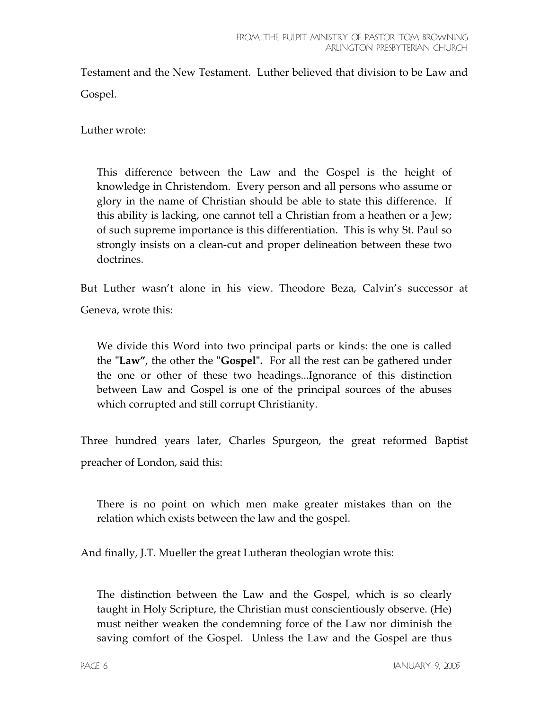Testament and the New Testament. Luther believed that division to be Law and Gospel.

Luther wrote:

This difference between the Law and the Gospel is the height of knowledge in Christendom. Every person and all persons who assume or glory in the name of Christian should be able to state this difference. If this ability is lacking, one cannot tell a Christian from a heathen or a Jew; of such supreme importance is this differentiation. This is why St. Paul so strongly insists on a clean-cut and proper delineation between these two doctrines.

But Luther wasn't alone in his view. Theodore Beza, Calvin's successor at Geneva, wrote this:

We divide this Word into two principal parts or kinds: the one is called the **ʺLaw"**, the other the **ʺGospelʺ.** For all the rest can be gathered under the one or other of these two headings...Ignorance of this distinction between Law and Gospel is one of the principal sources of the abuses which corrupted and still corrupt Christianity.

Three hundred years later, Charles Spurgeon, the great reformed Baptist preacher of London, said this:

There is no point on which men make greater mistakes than on the relation which exists between the law and the gospel.

And finally, J.T. Mueller the great Lutheran theologian wrote this:

The distinction between the Law and the Gospel, which is so clearly taught in Holy Scripture, the Christian must conscientiously observe. (He) must neither weaken the condemning force of the Law nor diminish the saving comfort of the Gospel. Unless the Law and the Gospel are thus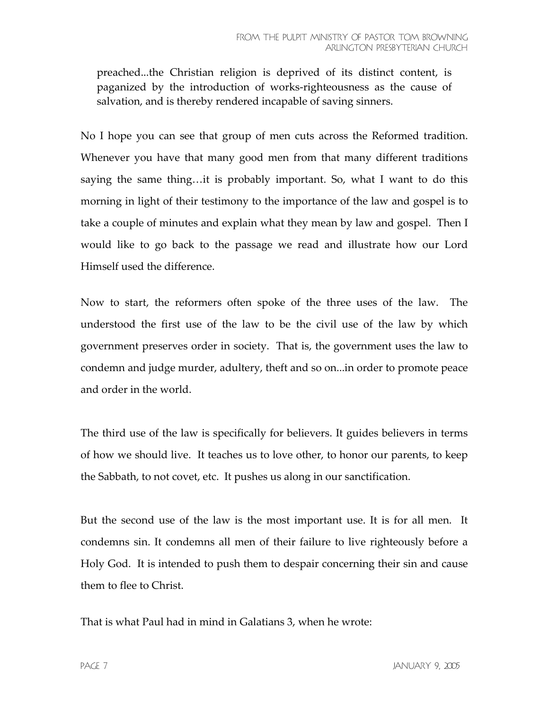preached...the Christian religion is deprived of its distinct content, is paganized by the introduction of works-righteousness as the cause of salvation, and is thereby rendered incapable of saving sinners.

No I hope you can see that group of men cuts across the Reformed tradition. Whenever you have that many good men from that many different traditions saying the same thing…it is probably important. So, what I want to do this morning in light of their testimony to the importance of the law and gospel is to take a couple of minutes and explain what they mean by law and gospel. Then I would like to go back to the passage we read and illustrate how our Lord Himself used the difference.

Now to start, the reformers often spoke of the three uses of the law. The understood the first use of the law to be the civil use of the law by which government preserves order in society. That is, the government uses the law to condemn and judge murder, adultery, theft and so on...in order to promote peace and order in the world.

The third use of the law is specifically for believers. It guides believers in terms of how we should live. It teaches us to love other, to honor our parents, to keep the Sabbath, to not covet, etc. It pushes us along in our sanctification.

But the second use of the law is the most important use. It is for all men. It condemns sin. It condemns all men of their failure to live righteously before a Holy God. It is intended to push them to despair concerning their sin and cause them to flee to Christ.

That is what Paul had in mind in Galatians 3, when he wrote: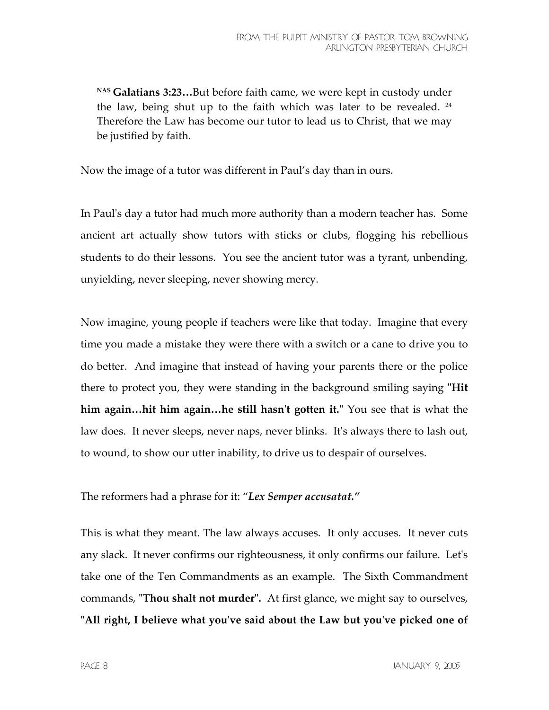**NAS Galatians 3:23…**But before faith came, we were kept in custody under the law, being shut up to the faith which was later to be revealed.  $24$ Therefore the Law has become our tutor to lead us to Christ, that we may be justified by faith.

Now the image of a tutor was different in Paul's day than in ours.

In Paulʹs day a tutor had much more authority than a modern teacher has. Some ancient art actually show tutors with sticks or clubs, flogging his rebellious students to do their lessons. You see the ancient tutor was a tyrant, unbending, unyielding, never sleeping, never showing mercy.

Now imagine, young people if teachers were like that today. Imagine that every time you made a mistake they were there with a switch or a cane to drive you to do better. And imagine that instead of having your parents there or the police there to protect you, they were standing in the background smiling saying **ʺHit him again…hit him again…he still hasnʹt gotten it.ʺ** You see that is what the law does. It never sleeps, never naps, never blinks. Itʹs always there to lash out, to wound, to show our utter inability, to drive us to despair of ourselves.

### The reformers had a phrase for it: "*Lex Semper accusatat."*

This is what they meant. The law always accuses. It only accuses. It never cuts any slack. It never confirms our righteousness, it only confirms our failure. Letʹs take one of the Ten Commandments as an example. The Sixth Commandment commands, **"Thou shalt not murder".** At first glance, we might say to ourselves, **ʺAll right, I believe what youʹve said about the Law but youʹve picked one of**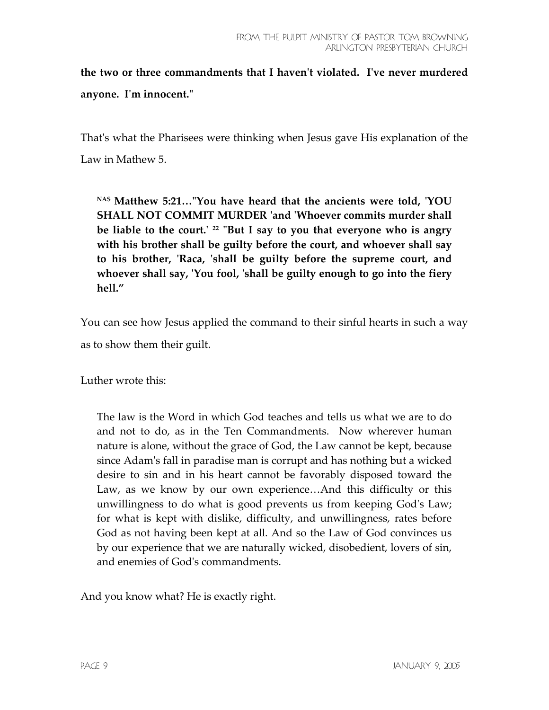**the two or three commandments that I havenʹt violated. Iʹve never murdered anyone. Iʹm innocent.ʺ**

That's what the Pharisees were thinking when Jesus gave His explanation of the Law in Mathew 5.

**NAS Matthew 5:21…ʺYou have heard that the ancients were told, ʹYOU SHALL NOT COMMIT MURDER ʹand ʹWhoever commits murder shall be liable to the court.ʹ <sup>22</sup> ʺBut I say to you that everyone who is angry with his brother shall be guilty before the court, and whoever shall say to his brother, ʹRaca, ʹshall be guilty before the supreme court, and whoever shall say, ʹYou fool, ʹshall be guilty enough to go into the fiery hell."**

You can see how Jesus applied the command to their sinful hearts in such a way as to show them their guilt.

Luther wrote this:

The law is the Word in which God teaches and tells us what we are to do and not to do, as in the Ten Commandments. Now wherever human nature is alone, without the grace of God, the Law cannot be kept, because since Adamʹs fall in paradise man is corrupt and has nothing but a wicked desire to sin and in his heart cannot be favorably disposed toward the Law, as we know by our own experience…And this difficulty or this unwillingness to do what is good prevents us from keeping Godʹs Law; for what is kept with dislike, difficulty, and unwillingness, rates before God as not having been kept at all. And so the Law of God convinces us by our experience that we are naturally wicked, disobedient, lovers of sin, and enemies of Godʹs commandments.

And you know what? He is exactly right.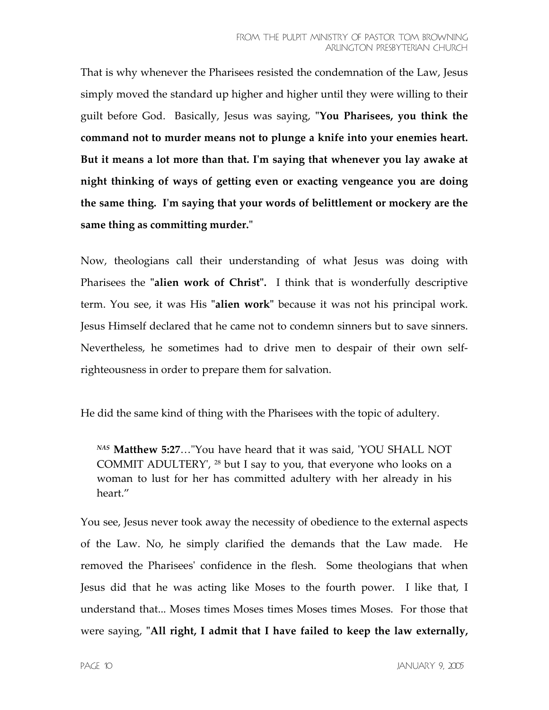That is why whenever the Pharisees resisted the condemnation of the Law, Jesus simply moved the standard up higher and higher until they were willing to their guilt before God. Basically, Jesus was saying, **ʺYou Pharisees, you think the command not to murder means not to plunge a knife into your enemies heart. But it means a lot more than that. Iʹm saying that whenever you lay awake at night thinking of ways of getting even or exacting vengeance you are doing the same thing. Iʹm saying that your words of belittlement or mockery are the**  same thing as committing murder."

Now, theologians call their understanding of what Jesus was doing with Pharisees the "alien work of Christ". I think that is wonderfully descriptive term. You see, it was His "**alien work**" because it was not his principal work. Jesus Himself declared that he came not to condemn sinners but to save sinners. Nevertheless, he sometimes had to drive men to despair of their own selfrighteousness in order to prepare them for salvation.

He did the same kind of thing with the Pharisees with the topic of adultery.

*NAS* **Matthew 5:27**…ʺYou have heard that it was said, ʹYOU SHALL NOT COMMIT ADULTERYʹ, 28 but I say to you, that everyone who looks on a woman to lust for her has committed adultery with her already in his heart."

You see, Jesus never took away the necessity of obedience to the external aspects of the Law. No, he simply clarified the demands that the Law made. He removed the Phariseesʹ confidence in the flesh. Some theologians that when Jesus did that he was acting like Moses to the fourth power. I like that, I understand that... Moses times Moses times Moses times Moses. For those that were saying, "All right, I admit that I have failed to keep the law externally,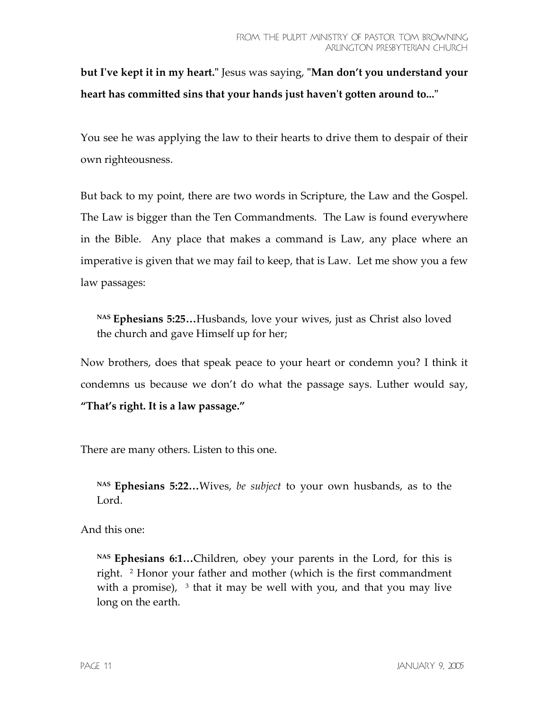**but Iʹve kept it in my heart.ʺ** Jesus was saying, **ʺMan don't you understand your heart has committed sins that your hands just haven't gotten around to..."** 

You see he was applying the law to their hearts to drive them to despair of their own righteousness.

But back to my point, there are two words in Scripture, the Law and the Gospel. The Law is bigger than the Ten Commandments. The Law is found everywhere in the Bible. Any place that makes a command is Law, any place where an imperative is given that we may fail to keep, that is Law. Let me show you a few law passages:

**NAS Ephesians 5:25…**Husbands, love your wives, just as Christ also loved the church and gave Himself up for her;

Now brothers, does that speak peace to your heart or condemn you? I think it condemns us because we don't do what the passage says. Luther would say, **"That's right. It is a law passage."**

There are many others. Listen to this one.

**NAS Ephesians 5:22…**Wives, *be subject* to your own husbands, as to the Lord.

And this one:

**NAS Ephesians 6:1…**Children, obey your parents in the Lord, for this is right. 2 Honor your father and mother (which is the first commandment with a promise),  $3$  that it may be well with you, and that you may live long on the earth.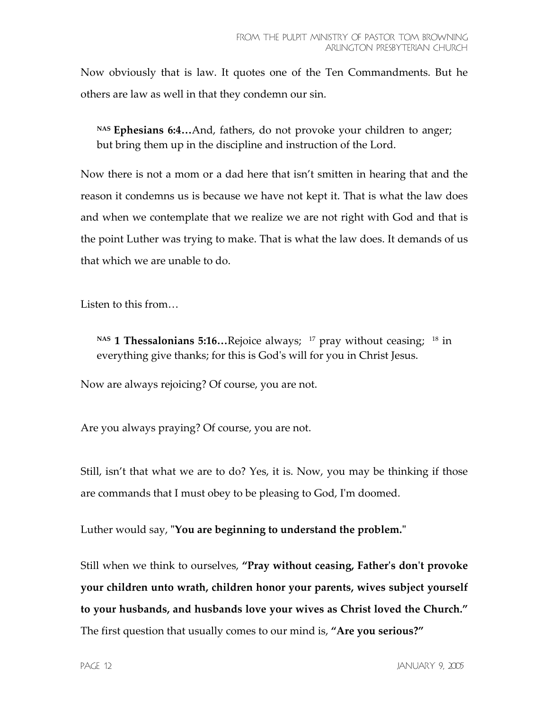Now obviously that is law. It quotes one of the Ten Commandments. But he others are law as well in that they condemn our sin.

**NAS Ephesians 6:4…**And, fathers, do not provoke your children to anger; but bring them up in the discipline and instruction of the Lord.

Now there is not a mom or a dad here that isn't smitten in hearing that and the reason it condemns us is because we have not kept it. That is what the law does and when we contemplate that we realize we are not right with God and that is the point Luther was trying to make. That is what the law does. It demands of us that which we are unable to do.

Listen to this from…

NAS 1 Thessalonians 5:16...Rejoice always; <sup>17</sup> pray without ceasing; <sup>18</sup> in everything give thanks; for this is Godʹs will for you in Christ Jesus.

Now are always rejoicing? Of course, you are not.

Are you always praying? Of course, you are not.

Still, isn't that what we are to do? Yes, it is. Now, you may be thinking if those are commands that I must obey to be pleasing to God, Iʹm doomed.

Luther would say, **"You are beginning to understand the problem."** 

Still when we think to ourselves, **"Pray without ceasing, Fatherʹs donʹt provoke your children unto wrath, children honor your parents, wives subject yourself to your husbands, and husbands love your wives as Christ loved the Church."** The first question that usually comes to our mind is, **"Are you serious?"**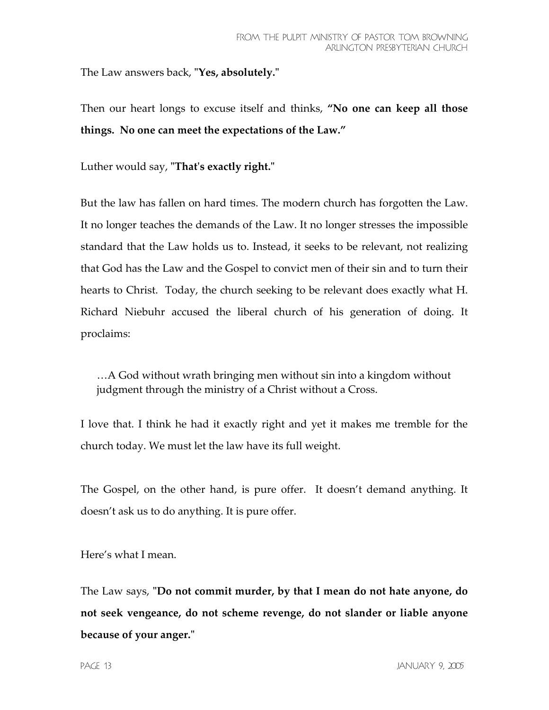The Law answers back, **ʺYes, absolutely.ʺ**

Then our heart longs to excuse itself and thinks, **"No one can keep all those things. No one can meet the expectations of the Law."** 

Luther would say, **ʺThatʹs exactly right.ʺ**

But the law has fallen on hard times. The modern church has forgotten the Law. It no longer teaches the demands of the Law. It no longer stresses the impossible standard that the Law holds us to. Instead, it seeks to be relevant, not realizing that God has the Law and the Gospel to convict men of their sin and to turn their hearts to Christ. Today, the church seeking to be relevant does exactly what H. Richard Niebuhr accused the liberal church of his generation of doing. It proclaims:

…A God without wrath bringing men without sin into a kingdom without judgment through the ministry of a Christ without a Cross.

I love that. I think he had it exactly right and yet it makes me tremble for the church today. We must let the law have its full weight.

The Gospel, on the other hand, is pure offer. It doesn't demand anything. It doesn't ask us to do anything. It is pure offer.

Here's what I mean.

The Law says, "Do not commit murder, by that I mean do not hate anyone, do **not seek vengeance, do not scheme revenge, do not slander or liable anyone because of your anger.ʺ**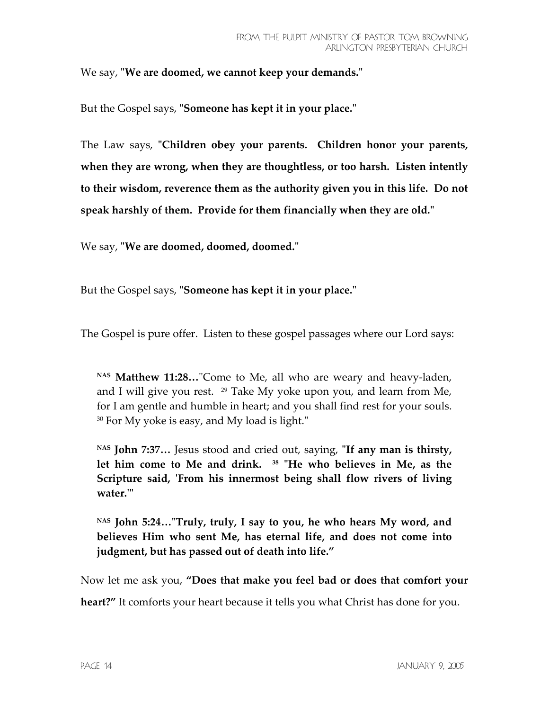We say, "We are doomed, we cannot keep your demands."

But the Gospel says, "**Someone has kept it in your place.**"

The Law says, **ʺChildren obey your parents. Children honor your parents, when they are wrong, when they are thoughtless, or too harsh. Listen intently to their wisdom, reverence them as the authority given you in this life. Do not speak harshly of them. Provide for them financially when they are old.ʺ**

We say, "We are doomed, doomed, doomed."

But the Gospel says, "**Someone has kept it in your place.**"

The Gospel is pure offer. Listen to these gospel passages where our Lord says:

NAS Matthew 11:28..."Come to Me, all who are weary and heavy-laden, and I will give you rest.  $29$  Take My yoke upon you, and learn from Me, for I am gentle and humble in heart; and you shall find rest for your souls.  $30$  For My yoke is easy, and My load is light."

NAS John 7:37... Jesus stood and cried out, saying, "If any man is thirsty, let him come to Me and drink. <sup>38</sup> "He who believes in Me, as the **Scripture said, ʹFrom his innermost being shall flow rivers of living water.ʹʺ**

NAS John 5:24..."Truly, truly, I say to you, he who hears My word, and **believes Him who sent Me, has eternal life, and does not come into judgment, but has passed out of death into life."** 

Now let me ask you, **"Does that make you feel bad or does that comfort your** 

**heart?"** It comforts your heart because it tells you what Christ has done for you.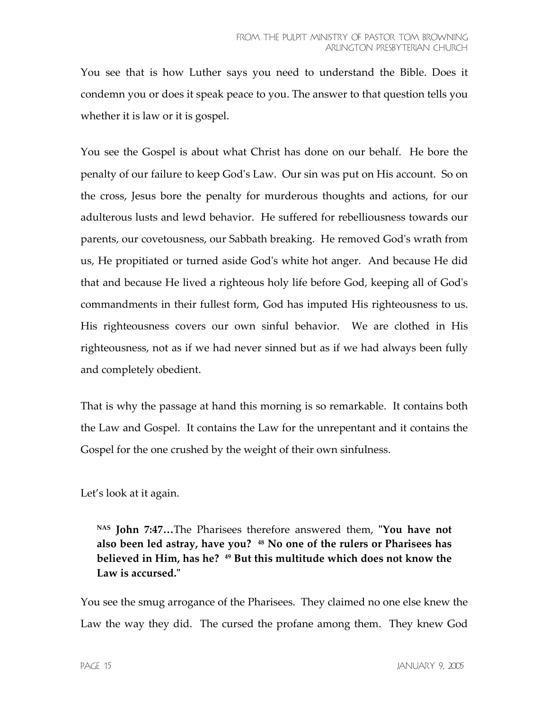You see that is how Luther says you need to understand the Bible. Does it condemn you or does it speak peace to you. The answer to that question tells you whether it is law or it is gospel.

You see the Gospel is about what Christ has done on our behalf. He bore the penalty of our failure to keep Godʹs Law. Our sin was put on His account. So on the cross, Jesus bore the penalty for murderous thoughts and actions, for our adulterous lusts and lewd behavior. He suffered for rebelliousness towards our parents, our covetousness, our Sabbath breaking. He removed Godʹs wrath from us, He propitiated or turned aside Godʹs white hot anger. And because He did that and because He lived a righteous holy life before God, keeping all of Godʹs commandments in their fullest form, God has imputed His righteousness to us. His righteousness covers our own sinful behavior. We are clothed in His righteousness, not as if we had never sinned but as if we had always been fully and completely obedient.

That is why the passage at hand this morning is so remarkable. It contains both the Law and Gospel. It contains the Law for the unrepentant and it contains the Gospel for the one crushed by the weight of their own sinfulness.

Let's look at it again.

NAS **John 7:47...**The Pharisees therefore answered them, "You have not **also been led astray, have you? 48 No one of the rulers or Pharisees has believed in Him, has he? 49 But this multitude which does not know the**  Law is accursed."

You see the smug arrogance of the Pharisees. They claimed no one else knew the Law the way they did. The cursed the profane among them. They knew God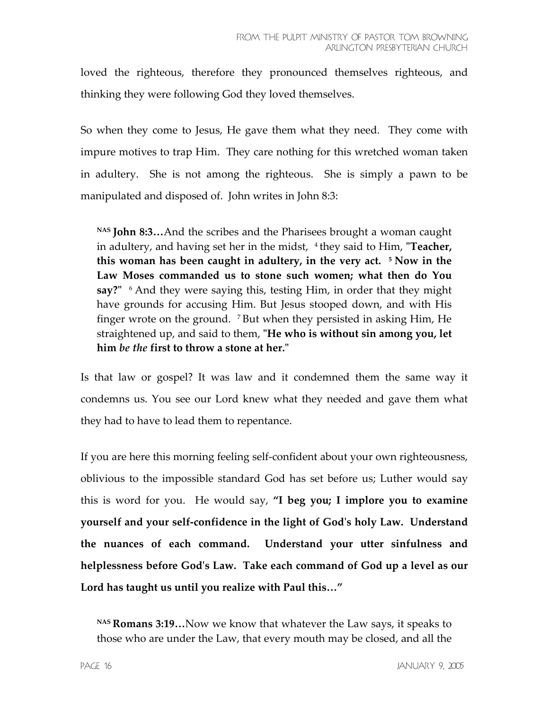loved the righteous, therefore they pronounced themselves righteous, and thinking they were following God they loved themselves.

So when they come to Jesus, He gave them what they need. They come with impure motives to trap Him. They care nothing for this wretched woman taken in adultery. She is not among the righteous. She is simply a pawn to be manipulated and disposed of. John writes in John 8:3:

**NAS John 8:3…**And the scribes and the Pharisees brought a woman caught in adultery, and having set her in the midst, <sup>4</sup> they said to Him, **"Teacher, this woman has been caught in adultery, in the very act. 5 Now in the Law Moses commanded us to stone such women; what then do You say?"** <sup>6</sup> And they were saying this, testing Him, in order that they might have grounds for accusing Him. But Jesus stooped down, and with His finger wrote on the ground. 7 But when they persisted in asking Him, He straightened up, and said to them, **ʺHe who is without sin among you, let him** *be the* **first to throw a stone at her.ʺ**

Is that law or gospel? It was law and it condemned them the same way it condemns us. You see our Lord knew what they needed and gave them what they had to have to lead them to repentance.

If you are here this morning feeling self-confident about your own righteousness, oblivious to the impossible standard God has set before us; Luther would say this is word for you. He would say, **"I beg you; I implore you to examine yourself and your self-confidence in the light of Godʹs holy Law. Understand the nuances of each command. Understand your utter sinfulness and helplessness before Godʹs Law. Take each command of God up a level as our Lord has taught us until you realize with Paul this…"** 

**NAS Romans 3:19…**Now we know that whatever the Law says, it speaks to those who are under the Law, that every mouth may be closed, and all the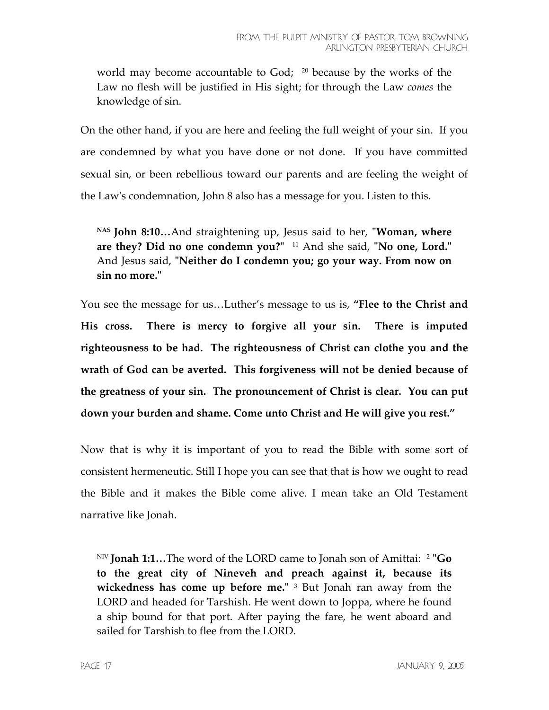world may become accountable to God;  $^{20}$  because by the works of the Law no flesh will be justified in His sight; for through the Law *comes* the knowledge of sin.

On the other hand, if you are here and feeling the full weight of your sin. If you are condemned by what you have done or not done. If you have committed sexual sin, or been rebellious toward our parents and are feeling the weight of the Lawʹs condemnation, John 8 also has a message for you. Listen to this.

NAS **John 8:10...**And straightening up, Jesus said to her, "Woman, where are they? Did no one condemn you?" <sup>11</sup> And she said, "No one, Lord." And Jesus said, "Neither do I condemn you; go your way. From now on **sin no more.ʺ**

You see the message for us…Luther's message to us is, **"Flee to the Christ and His cross. There is mercy to forgive all your sin. There is imputed righteousness to be had. The righteousness of Christ can clothe you and the wrath of God can be averted. This forgiveness will not be denied because of the greatness of your sin. The pronouncement of Christ is clear. You can put down your burden and shame. Come unto Christ and He will give you rest."**

Now that is why it is important of you to read the Bible with some sort of consistent hermeneutic. Still I hope you can see that that is how we ought to read the Bible and it makes the Bible come alive. I mean take an Old Testament narrative like Jonah.

NIV **Jonah 1:1...** The word of the LORD came to Jonah son of Amittai: <sup>2</sup> "Go **to the great city of Nineveh and preach against it, because its**  wickedness has come up before me." <sup>3</sup> But Jonah ran away from the LORD and headed for Tarshish. He went down to Joppa, where he found a ship bound for that port. After paying the fare, he went aboard and sailed for Tarshish to flee from the LORD.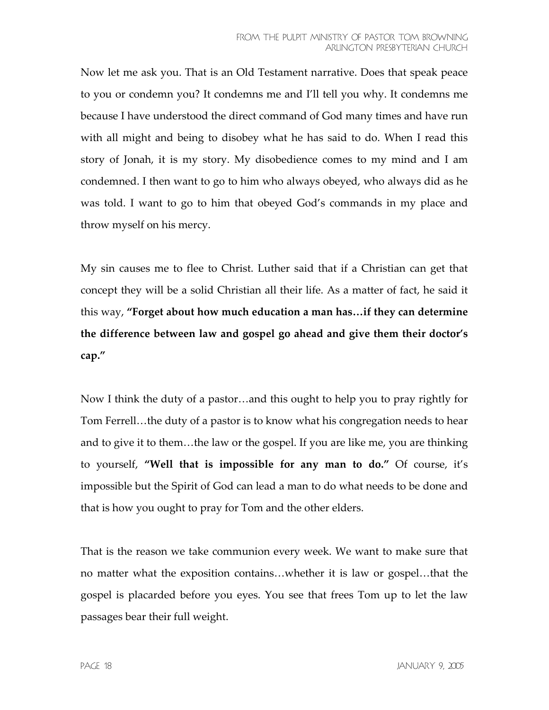Now let me ask you. That is an Old Testament narrative. Does that speak peace to you or condemn you? It condemns me and I'll tell you why. It condemns me because I have understood the direct command of God many times and have run with all might and being to disobey what he has said to do. When I read this story of Jonah, it is my story. My disobedience comes to my mind and I am condemned. I then want to go to him who always obeyed, who always did as he was told. I want to go to him that obeyed God's commands in my place and throw myself on his mercy.

My sin causes me to flee to Christ. Luther said that if a Christian can get that concept they will be a solid Christian all their life. As a matter of fact, he said it this way, **"Forget about how much education a man has…if they can determine the difference between law and gospel go ahead and give them their doctor's cap."** 

Now I think the duty of a pastor…and this ought to help you to pray rightly for Tom Ferrell…the duty of a pastor is to know what his congregation needs to hear and to give it to them…the law or the gospel. If you are like me, you are thinking to yourself, **"Well that is impossible for any man to do."** Of course, it's impossible but the Spirit of God can lead a man to do what needs to be done and that is how you ought to pray for Tom and the other elders.

That is the reason we take communion every week. We want to make sure that no matter what the exposition contains…whether it is law or gospel…that the gospel is placarded before you eyes. You see that frees Tom up to let the law passages bear their full weight.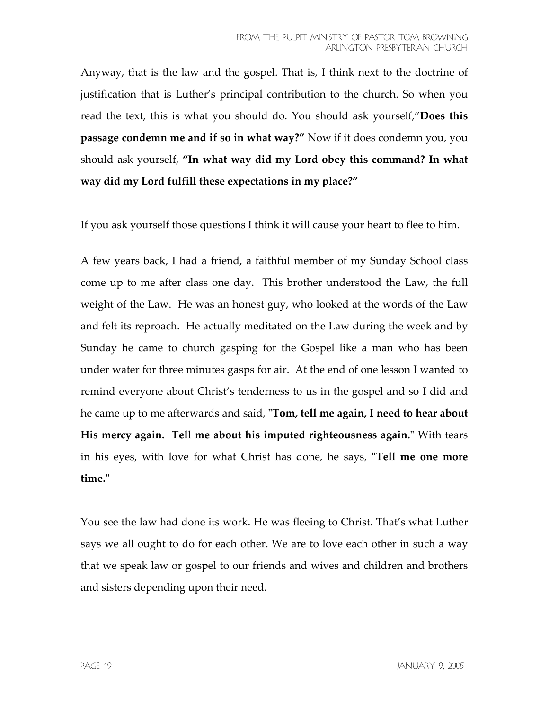Anyway, that is the law and the gospel. That is, I think next to the doctrine of justification that is Luther's principal contribution to the church. So when you read the text, this is what you should do. You should ask yourself,"**Does this passage condemn me and if so in what way?"** Now if it does condemn you, you should ask yourself, **"In what way did my Lord obey this command? In what way did my Lord fulfill these expectations in my place?"** 

If you ask yourself those questions I think it will cause your heart to flee to him.

A few years back, I had a friend, a faithful member of my Sunday School class come up to me after class one day. This brother understood the Law, the full weight of the Law. He was an honest guy, who looked at the words of the Law and felt its reproach. He actually meditated on the Law during the week and by Sunday he came to church gasping for the Gospel like a man who has been under water for three minutes gasps for air. At the end of one lesson I wanted to remind everyone about Christ's tenderness to us in the gospel and so I did and he came up to me afterwards and said, **ʺTom, tell me again, I need to hear about His mercy again. Tell me about his imputed righteousness again.<sup>"</sup> With tears** in his eyes, with love for what Christ has done, he says, **"Tell me one more time.ʺ**

You see the law had done its work. He was fleeing to Christ. That's what Luther says we all ought to do for each other. We are to love each other in such a way that we speak law or gospel to our friends and wives and children and brothers and sisters depending upon their need.